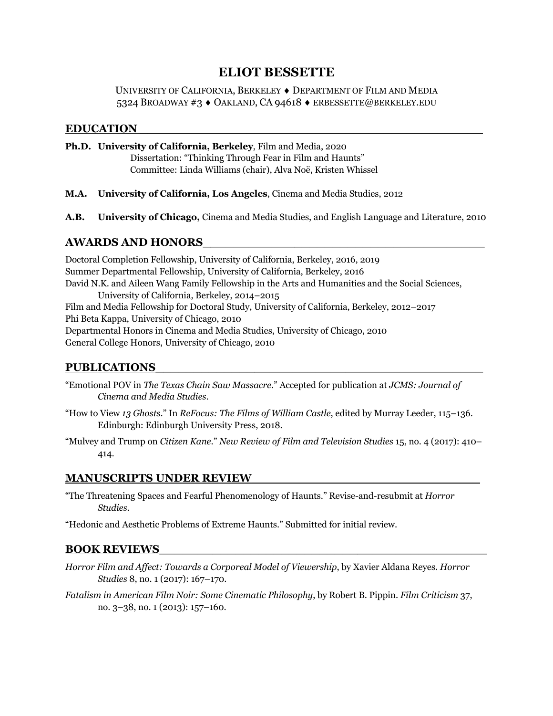# **ELIOT BESSETTE**

## UNIVERSITY OF CALIFORNIA, BERKELEY • DEPARTMENT OF FILM AND MEDIA 5324 BROADWAY #3  $\bullet$  OAKLAND, CA 94618  $\bullet$  ERBESSETTE@BERKELEY.EDU

### **EDUCATION \_\_\_\_\_\_\_\_\_\_\_\_\_\_\_\_\_\_\_\_\_\_\_\_\_\_\_\_\_\_\_\_\_\_\_\_\_\_\_\_\_\_\_\_\_**

- **Ph.D. University of California, Berkeley**, Film and Media, 2020 Dissertation: "Thinking Through Fear in Film and Haunts" Committee: Linda Williams (chair), Alva Noë, Kristen Whissel
- **M.A. University of California, Los Angeles**, Cinema and Media Studies, 2012
- **A.B. University of Chicago,** Cinema and Media Studies, and English Language and Literature, 2010

## **AWARDS AND HONORS\_\_\_\_\_\_\_\_\_\_\_\_\_\_\_\_\_\_\_\_\_\_\_\_\_\_\_\_\_\_\_\_\_\_\_\_\_**

Doctoral Completion Fellowship, University of California, Berkeley, 2016, 2019 Summer Departmental Fellowship, University of California, Berkeley, 2016 David N.K. and Aileen Wang Family Fellowship in the Arts and Humanities and the Social Sciences, University of California, Berkeley, 2014–2015 Film and Media Fellowship for Doctoral Study, University of California, Berkeley, 2012–2017 Phi Beta Kappa, University of Chicago, 2010 Departmental Honors in Cinema and Media Studies, University of Chicago, 2010 General College Honors, University of Chicago, 2010

## **PUBLICATIONS\_\_\_\_\_\_\_\_\_\_\_\_\_\_\_\_\_\_\_\_\_\_\_\_\_\_\_\_\_\_\_\_\_\_\_\_\_\_\_\_\_\_\_**

"Emotional POV in *The Texas Chain Saw Massacre*." Accepted for publication at *JCMS: Journal of Cinema and Media Studies*.

- "How to View *13 Ghosts*." In *ReFocus: The Films of William Castle*, edited by Murray Leeder, 115–136. Edinburgh: Edinburgh University Press, 2018.
- "Mulvey and Trump on *Citizen Kane*." *New Review of Film and Television Studies* 15, no. 4 (2017): 410– 414.

## **MANUSCRIPTS UNDER REVIEW**

"The Threatening Spaces and Fearful Phenomenology of Haunts." Revise-and-resubmit at *Horror Studies*.

"Hedonic and Aesthetic Problems of Extreme Haunts." Submitted for initial review.

## **BOOK REVIEWS\_\_\_\_\_\_\_\_\_\_\_\_\_\_\_\_\_\_\_\_\_\_\_\_\_\_\_\_\_\_\_\_\_\_\_\_\_\_\_\_\_\_\_**

*Horror Film and Affect: Towards a Corporeal Model of Viewership*, by Xavier Aldana Reyes. *Horror Studies* 8, no. 1 (2017): 167–170.

*Fatalism in American Film Noir: Some Cinematic Philosophy*, by Robert B. Pippin. *Film Criticism* 37, no. 3–38, no. 1 (2013): 157–160.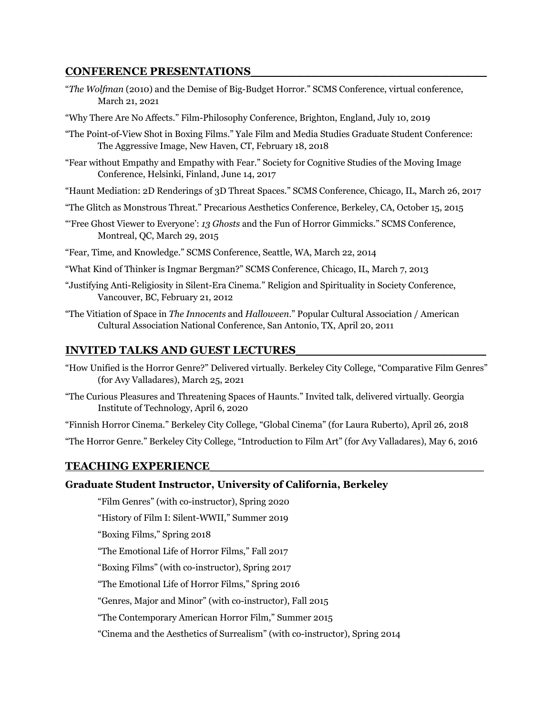## **CONFERENCE PRESENTATIONS\_\_\_\_\_\_\_\_\_\_\_\_\_\_\_\_\_\_\_\_\_\_\_\_\_\_\_\_\_\_\_**

- "*The Wolfman* (2010) and the Demise of Big-Budget Horror." SCMS Conference, virtual conference, March 21, 2021
- "Why There Are No Affects." Film-Philosophy Conference, Brighton, England, July 10, 2019
- "The Point-of-View Shot in Boxing Films." Yale Film and Media Studies Graduate Student Conference: The Aggressive Image, New Haven, CT, February 18, 2018
- "Fear without Empathy and Empathy with Fear." Society for Cognitive Studies of the Moving Image Conference, Helsinki, Finland, June 14, 2017
- "Haunt Mediation: 2D Renderings of 3D Threat Spaces." SCMS Conference, Chicago, IL, March 26, 2017
- "The Glitch as Monstrous Threat." Precarious Aesthetics Conference, Berkeley, CA, October 15, 2015
- "'Free Ghost Viewer to Everyone': *13 Ghosts* and the Fun of Horror Gimmicks." SCMS Conference, Montreal, QC, March 29, 2015
- "Fear, Time, and Knowledge." SCMS Conference, Seattle, WA, March 22, 2014
- "What Kind of Thinker is Ingmar Bergman?" SCMS Conference, Chicago, IL, March 7, 2013
- "Justifying Anti-Religiosity in Silent-Era Cinema." Religion and Spirituality in Society Conference, Vancouver, BC, February 21, 2012
- "The Vitiation of Space in *The Innocents* and *Halloween*." Popular Cultural Association / American Cultural Association National Conference, San Antonio, TX, April 20, 2011

## **INVITED TALKS AND GUEST LECTURES\_\_\_\_\_\_\_\_\_\_\_\_\_\_\_\_\_\_\_\_\_\_\_\_\_**

- "How Unified is the Horror Genre?" Delivered virtually. Berkeley City College, "Comparative Film Genres" (for Avy Valladares), March 25, 2021
- "The Curious Pleasures and Threatening Spaces of Haunts." Invited talk, delivered virtually. Georgia Institute of Technology, April 6, 2020

"Finnish Horror Cinema." Berkeley City College, "Global Cinema" (for Laura Ruberto), April 26, 2018

"The Horror Genre." Berkeley City College, "Introduction to Film Art" (for Avy Valladares), May 6, 2016

#### **TEACHING EXPERIENCE\_\_\_\_\_\_\_\_\_\_\_\_\_\_\_\_\_\_\_\_\_\_\_\_\_\_\_\_\_\_\_\_\_\_\_\_**

#### **Graduate Student Instructor, University of California, Berkeley**

"Film Genres" (with co-instructor), Spring 2020

"History of Film I: Silent-WWII," Summer 2019

"Boxing Films," Spring 2018

"The Emotional Life of Horror Films," Fall 2017

"Boxing Films" (with co-instructor), Spring 2017

"The Emotional Life of Horror Films," Spring 2016

"Genres, Major and Minor" (with co-instructor), Fall 2015

"The Contemporary American Horror Film," Summer 2015

"Cinema and the Aesthetics of Surrealism" (with co-instructor), Spring 2014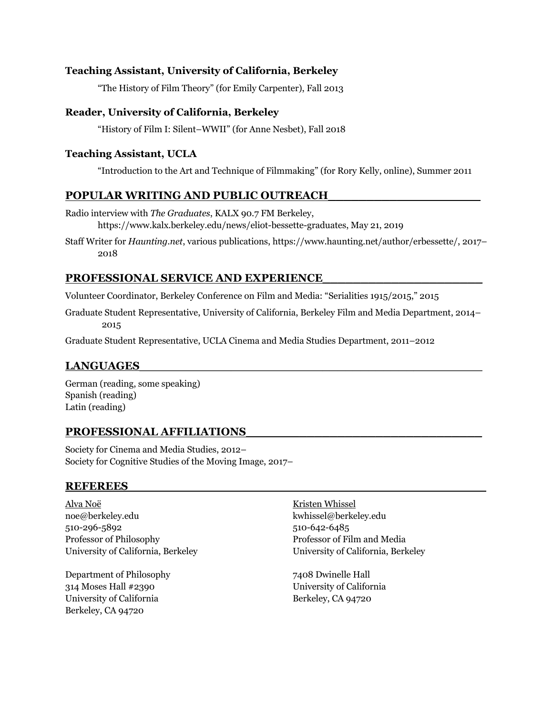## **Teaching Assistant, University of California, Berkeley**

"The History of Film Theory" (for Emily Carpenter), Fall 2013

## **Reader, University of California, Berkeley**

"History of Film I: Silent–WWII" (for Anne Nesbet), Fall 2018

## **Teaching Assistant, UCLA**

"Introduction to the Art and Technique of Filmmaking" (for Rory Kelly, online), Summer 2011

## **POPULAR WRITING AND PUBLIC OUTREACH\_\_\_\_\_\_\_\_\_\_\_\_\_\_\_\_\_\_\_\_**

Radio interview with *The Graduates*, KALX 90.7 FM Berkeley, https://www.kalx.berkeley.edu/news/eliot-bessette-graduates, May 21, 2019

Staff Writer for *Haunting.net*, various publications, https://www.haunting.net/author/erbessette/, 2017– 2018

## **PROFESSIONAL SERVICE AND EXPERIENCE\_\_\_\_\_\_\_\_\_\_\_\_\_\_\_\_\_\_\_\_\_**

Volunteer Coordinator, Berkeley Conference on Film and Media: "Serialities 1915/2015," 2015

Graduate Student Representative, University of California, Berkeley Film and Media Department, 2014– 2015

Graduate Student Representative, UCLA Cinema and Media Studies Department, 2011–2012

## **LANGUAGES\_\_\_\_\_\_\_\_\_\_\_\_\_\_\_\_\_\_\_\_\_\_\_\_\_\_\_\_\_\_\_\_\_\_\_\_\_\_\_\_\_\_\_\_\_**

German (reading, some speaking) Spanish (reading) Latin (reading)

## **PROFESSIONAL AFFILIATIONS\_\_\_\_\_\_\_\_\_\_\_\_\_\_\_\_\_\_\_\_\_\_\_\_\_\_\_\_\_\_\_**

Society for Cinema and Media Studies, 2012– Society for Cognitive Studies of the Moving Image, 2017–

## **REFEREES\_\_\_\_\_\_\_\_\_\_\_\_\_\_\_\_\_\_\_\_\_\_\_\_\_\_\_\_\_\_\_\_\_\_\_\_\_\_\_\_\_\_\_\_\_\_\_**

Alva Noë noe@berkeley.edu 510-296-5892 Professor of Philosophy University of California, Berkeley

Department of Philosophy 314 Moses Hall #2390 University of California Berkeley, CA 94720

Kristen Whissel kwhissel@berkeley.edu 510-642-6485 Professor of Film and Media University of California, Berkeley

7408 Dwinelle Hall University of California Berkeley, CA 94720